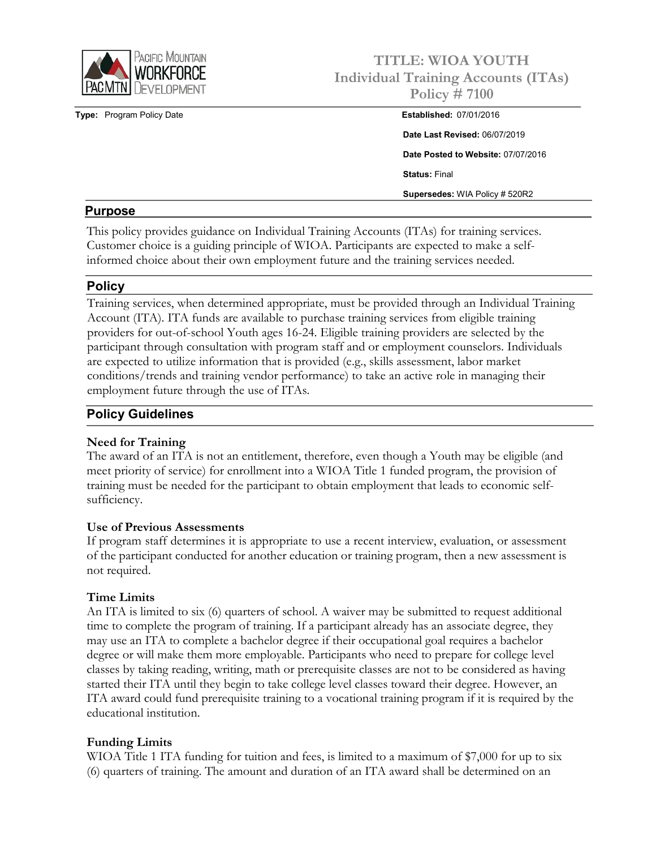

**Type: Program Policy Date** 

# **TITLE: WIOA YOUTH Individual Training Accounts (ITAs) Policy # 7100**

| <b>Established: 07/01/2016</b>        |
|---------------------------------------|
| Date Last Revised: 06/07/2019         |
| Date Posted to Website: 07/07/2016    |
| <b>Status: Final</b>                  |
| <b>Supersedes: WIA Policy # 520R2</b> |

## **Purpose**

This policy provides guidance on Individual Training Accounts (ITAs) for training services. Customer choice is a guiding principle of WIOA. Participants are expected to make a selfinformed choice about their own employment future and the training services needed.

# **Policy**

Training services, when determined appropriate, must be provided through an Individual Training Account (ITA). ITA funds are available to purchase training services from eligible training providers for out-of-school Youth ages 16-24. Eligible training providers are selected by the participant through consultation with program staff and or employment counselors. Individuals are expected to utilize information that is provided (e.g., skills assessment, labor market conditions/trends and training vendor performance) to take an active role in managing their employment future through the use of ITAs.

# **Policy Guidelines**

## **Need for Training**

The award of an ITA is not an entitlement, therefore, even though a Youth may be eligible (and meet priority of service) for enrollment into a WIOA Title 1 funded program, the provision of training must be needed for the participant to obtain employment that leads to economic selfsufficiency.

## **Use of Previous Assessments**

If program staff determines it is appropriate to use a recent interview, evaluation, or assessment of the participant conducted for another education or training program, then a new assessment is not required.

## **Time Limits**

An ITA is limited to six (6) quarters of school. A waiver may be submitted to request additional time to complete the program of training. If a participant already has an associate degree, they may use an ITA to complete a bachelor degree if their occupational goal requires a bachelor degree or will make them more employable. Participants who need to prepare for college level classes by taking reading, writing, math or prerequisite classes are not to be considered as having started their ITA until they begin to take college level classes toward their degree. However, an ITA award could fund prerequisite training to a vocational training program if it is required by the educational institution.

## **Funding Limits**

WIOA Title 1 ITA funding for tuition and fees, is limited to a maximum of \$7,000 for up to six (6) quarters of training. The amount and duration of an ITA award shall be determined on an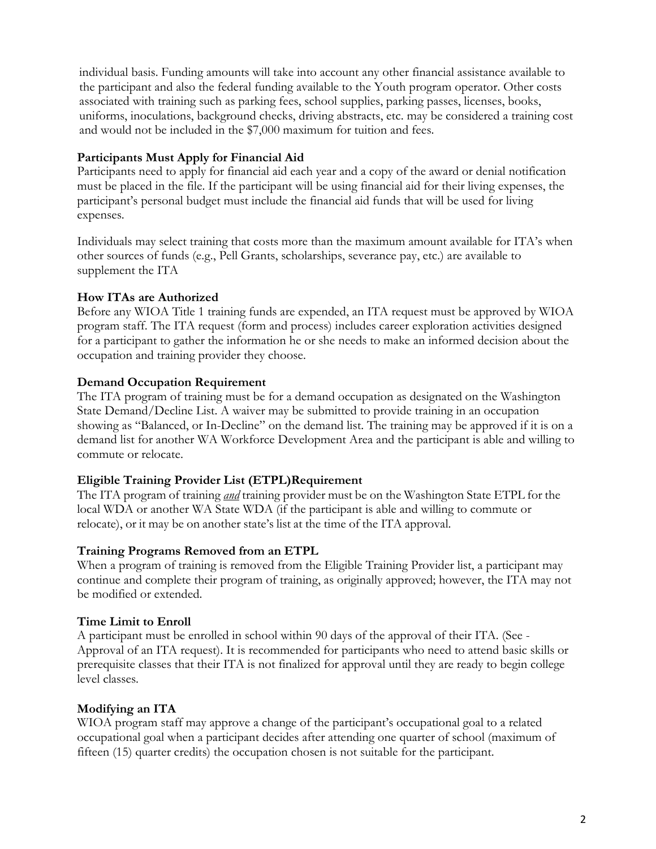individual basis. Funding amounts will take into account any other financial assistance available to the participant and also the federal funding available to the Youth program operator. Other costs associated with training such as parking fees, school supplies, parking passes, licenses, books, uniforms, inoculations, background checks, driving abstracts, etc. may be considered a training cost and would not be included in the \$7,000 maximum for tuition and fees.

## **Participants Must Apply for Financial Aid**

Participants need to apply for financial aid each year and a copy of the award or denial notification must be placed in the file. If the participant will be using financial aid for their living expenses, the participant's personal budget must include the financial aid funds that will be used for living expenses.

Individuals may select training that costs more than the maximum amount available for ITA's when other sources of funds (e.g., Pell Grants, scholarships, severance pay, etc.) are available to supplement the ITA

## **How ITAs are Authorized**

Before any WIOA Title 1 training funds are expended, an ITA request must be approved by WIOA program staff. The ITA request (form and process) includes career exploration activities designed for a participant to gather the information he or she needs to make an informed decision about the occupation and training provider they choose.

## **Demand Occupation Requirement**

The ITA program of training must be for a demand occupation as designated on the Washington State Demand/Decline List. A waiver may be submitted to provide training in an occupation showing as "Balanced, or In-Decline" on the demand list. The training may be approved if it is on a demand list for another WA Workforce Development Area and the participant is able and willing to commute or relocate.

# **Eligible Training Provider List (ETPL)Requirement**

The ITA program of training *and* training provider must be on the Washington State ETPL for the local WDA or another WA State WDA (if the participant is able and willing to commute or relocate), or it may be on another state's list at the time of the ITA approval.

## **Training Programs Removed from an ETPL**

When a program of training is removed from the Eligible Training Provider list, a participant may continue and complete their program of training, as originally approved; however, the ITA may not be modified or extended.

## **Time Limit to Enroll**

A participant must be enrolled in school within 90 days of the approval of their ITA. (See - Approval of an ITA request). It is recommended for participants who need to attend basic skills or prerequisite classes that their ITA is not finalized for approval until they are ready to begin college level classes.

# **Modifying an ITA**

WIOA program staff may approve a change of the participant's occupational goal to a related occupational goal when a participant decides after attending one quarter of school (maximum of fifteen (15) quarter credits) the occupation chosen is not suitable for the participant.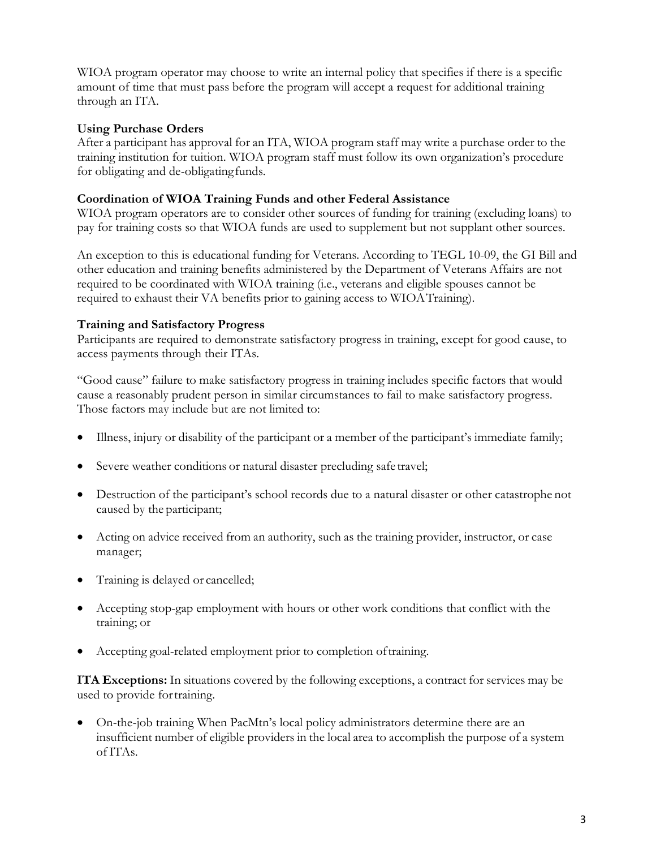WIOA program operator may choose to write an internal policy that specifies if there is a specific amount of time that must pass before the program will accept a request for additional training through an ITA.

## **Using Purchase Orders**

After a participant has approval for an ITA, WIOA program staff may write a purchase order to the training institution for tuition. WIOA program staff must follow its own organization's procedure for obligating and de-obligatingfunds.

## **Coordination of WIOA Training Funds and other Federal Assistance**

WIOA program operators are to consider other sources of funding for training (excluding loans) to pay for training costs so that WIOA funds are used to supplement but not supplant other sources.

An exception to this is educational funding for Veterans. According to TEGL 10-09, the GI Bill and other education and training benefits administered by the Department of Veterans Affairs are not required to be coordinated with WIOA training (i.e., veterans and eligible spouses cannot be required to exhaust their VA benefits prior to gaining access to WIOATraining).

## **Training and Satisfactory Progress**

Participants are required to demonstrate satisfactory progress in training, except for good cause, to access payments through their ITAs.

"Good cause" failure to make satisfactory progress in training includes specific factors that would cause a reasonably prudent person in similar circumstances to fail to make satisfactory progress. Those factors may include but are not limited to:

- Illness, injury or disability of the participant or a member of the participant's immediate family;
- Severe weather conditions or natural disaster precluding safe travel;
- Destruction of the participant's school records due to a natural disaster or other catastrophe not caused by the participant;
- Acting on advice received from an authority, such as the training provider, instructor, or case manager;
- Training is delayed or cancelled;
- Accepting stop-gap employment with hours or other work conditions that conflict with the training; or
- Accepting goal-related employment prior to completion oftraining.

**ITA Exceptions:** In situations covered by the following exceptions, a contract for services may be used to provide fortraining.

• On-the-job training When PacMtn's local policy administrators determine there are an insufficient number of eligible providers in the local area to accomplish the purpose of a system of ITAs.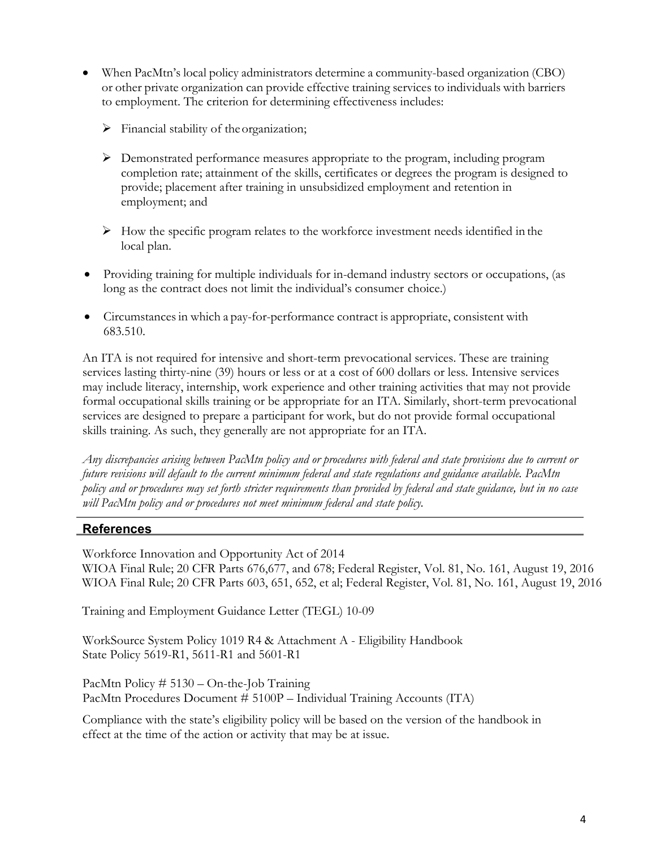- When PacMtn's local policy administrators determine a community-based organization (CBO) or other private organization can provide effective training services to individuals with barriers to employment. The criterion for determining effectiveness includes:
	- $\triangleright$  Financial stability of the organization;
	- Demonstrated performance measures appropriate to the program, including program completion rate; attainment of the skills, certificates or degrees the program is designed to provide; placement after training in unsubsidized employment and retention in employment; and
	- $\triangleright$  How the specific program relates to the workforce investment needs identified in the local plan.
- Providing training for multiple individuals for in-demand industry sectors or occupations, (as long as the contract does not limit the individual's consumer choice.)
- Circumstances in which a pay-for-performance contract is appropriate, consistent with 683.510.

An ITA is not required for intensive and short-term prevocational services. These are training services lasting thirty-nine (39) hours or less or at a cost of 600 dollars or less. Intensive services may include literacy, internship, work experience and other training activities that may not provide formal occupational skills training or be appropriate for an ITA. Similarly, short-term prevocational services are designed to prepare a participant for work, but do not provide formal occupational skills training. As such, they generally are not appropriate for an ITA.

*Any discrepancies arising between PacMtn policy and or procedures with federal and state provisions due to current or future revisions will default to the current minimum federal and state regulations and guidance available. PacMtn policy and or procedures may set forth stricter requirements than provided by federal and state guidance, but in no case will PacMtn policy and or procedures not meet minimum federal and state policy.*

## **References**

Workforce Innovation and Opportunity Act of 2014 WIOA Final Rule; 20 CFR Parts 676,677, and 678; Federal Register, Vol. 81, No. 161, August 19, 2016 WIOA Final Rule; 20 CFR Parts 603, 651, 652, et al; Federal Register, Vol. 81, No. 161, August 19, 2016

Training and Employment Guidance Letter (TEGL) 10-09

WorkSource System Policy 1019 R4 & Attachment A - Eligibility Handbook State Policy 5619-R1, 5611-R1 and 5601-R1

PacMtn Policy # 5130 – On-the-Job Training PacMtn Procedures Document # 5100P – Individual Training Accounts (ITA)

Compliance with the state's eligibility policy will be based on the version of the handbook in effect at the time of the action or activity that may be at issue.